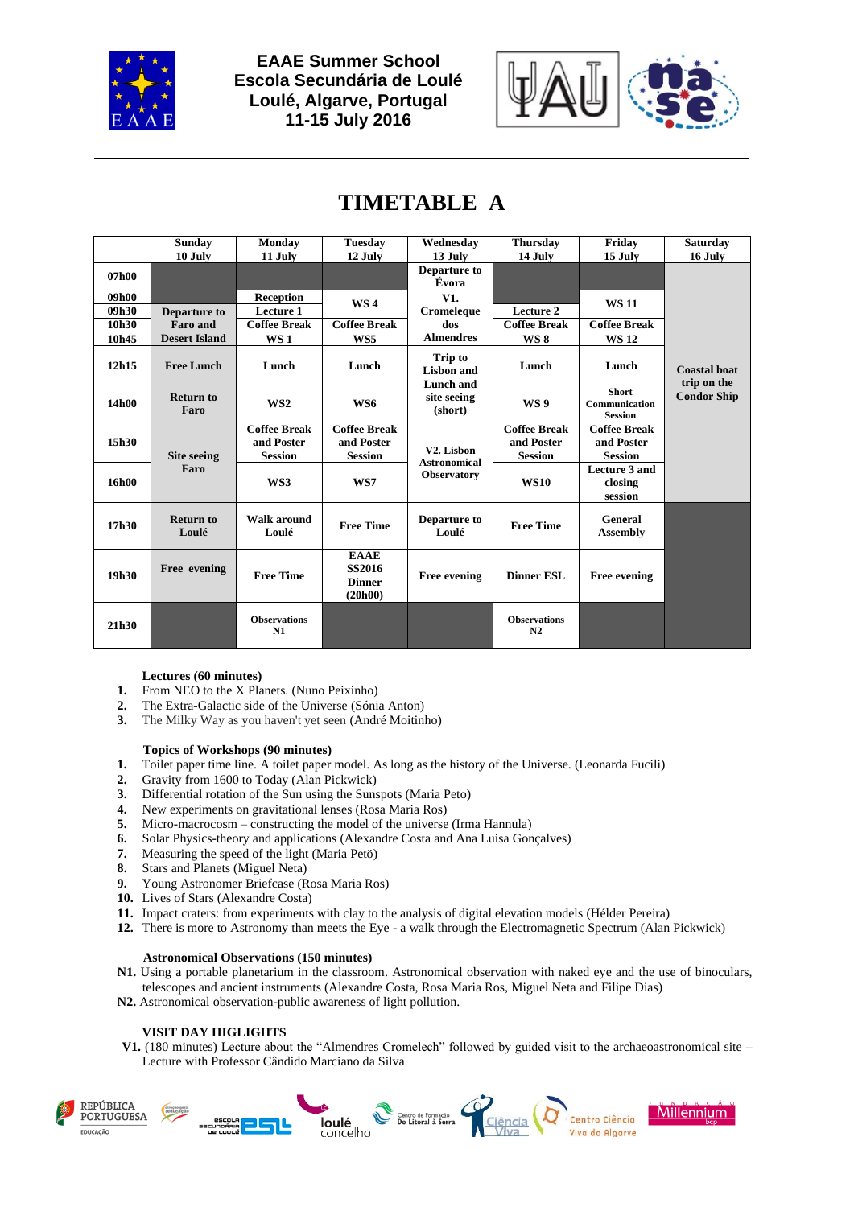

**EAAE Summer School Escola Secundária de Loulé Loulé, Algarve, Portugal 11-15 July 2016**



## **TIMETABLE A**

|       | <b>Sunday</b>             | Monday                                              | <b>Tuesday</b>                                           | Wednesdav                                        | <b>Thursday</b>                                     | Friday                                              | <b>Saturday</b>                    |
|-------|---------------------------|-----------------------------------------------------|----------------------------------------------------------|--------------------------------------------------|-----------------------------------------------------|-----------------------------------------------------|------------------------------------|
|       | 10 July                   | 11 July                                             | 12 July                                                  | 13 July                                          | 14 July                                             | 15 July                                             | 16 July                            |
| 07h00 |                           |                                                     |                                                          | Departure to<br>Évora                            |                                                     |                                                     |                                    |
| 09h00 |                           | Reception                                           | WS <sub>4</sub>                                          | V1.                                              |                                                     | <b>WS 11</b>                                        |                                    |
| 09h30 | Departure to              | Lecture 1                                           |                                                          | Cromeleque                                       | Lecture 2                                           |                                                     |                                    |
| 10h30 | Faro and                  | <b>Coffee Break</b>                                 | <b>Coffee Break</b>                                      | dos                                              | <b>Coffee Break</b>                                 | <b>Coffee Break</b>                                 |                                    |
| 10h45 | <b>Desert Island</b>      | WS <sub>1</sub>                                     | WS5                                                      | <b>Almendres</b>                                 | <b>WS 8</b>                                         | <b>WS12</b>                                         |                                    |
| 12h15 | <b>Free Lunch</b>         | Lunch                                               | Lunch                                                    | <b>Trip to</b><br><b>Lisbon</b> and<br>Lunch and | Lunch                                               | Lunch                                               | <b>Coastal boat</b><br>trip on the |
| 14h00 | <b>Return to</b><br>Faro  | WS <sub>2</sub>                                     | WS6                                                      | site seeing<br>(short)                           | WS 9                                                | <b>Short</b><br>Communication<br><b>Session</b>     | <b>Condor Ship</b>                 |
| 15h30 | Site seeing               | <b>Coffee Break</b><br>and Poster<br><b>Session</b> | <b>Coffee Break</b><br>and Poster<br><b>Session</b>      | V <sub>2</sub> . Lisbon<br><b>Astronomical</b>   | <b>Coffee Break</b><br>and Poster<br><b>Session</b> | <b>Coffee Break</b><br>and Poster<br><b>Session</b> |                                    |
| 16h00 | Faro                      | WS3                                                 | WS7                                                      | <b>Observatory</b>                               | <b>WS10</b>                                         | Lecture 3 and<br>closing<br>session                 |                                    |
| 17h30 | <b>Return to</b><br>Loulé | Walk around<br>Loulé                                | <b>Free Time</b>                                         | Departure to<br>Loulé                            | <b>Free Time</b>                                    | General<br><b>Assembly</b>                          |                                    |
| 19h30 | Free evening              | <b>Free Time</b>                                    | <b>EAAE</b><br><b>SS2016</b><br><b>Dinner</b><br>(20h00) | <b>Free evening</b>                              | <b>Dinner ESL</b>                                   | <b>Free evening</b>                                 |                                    |
| 21h30 |                           | <b>Observations</b><br>N1                           |                                                          |                                                  | <b>Observations</b><br>N2                           |                                                     |                                    |

## **Lectures (60 minutes)**

- **1.** From NEO to the X Planets. (Nuno Peixinho)
- **2.** The Extra-Galactic side of the Universe (Sónia Anton)
- **3.** The Milky Way as you haven't yet seen (André Moitinho)

### **Topics of Workshops (90 minutes)**

- **1.** Toilet paper time line. A toilet paper model. As long as the history of the Universe. (Leonarda Fucili)
- **2.** Gravity from 1600 to Today (Alan Pickwick)
- **3.** Differential rotation of the Sun using the Sunspots (Maria Peto)
- **4.** New experiments on gravitational lenses (Rosa Maria Ros)
- **5.** Micro-macrocosm constructing the model of the universe (Irma Hannula)
- **6.** Solar Physics-theory and applications (Alexandre Costa and Ana Luisa Gonçalves)
- **7.** Measuring the speed of the light (Maria Petö)
- **8.** Stars and Planets (Miguel Neta)
- **9.** Young Astronomer Briefcase (Rosa Maria Ros)
- **10.** Lives of Stars (Alexandre Costa)
- **11.** Impact craters: from experiments with clay to the analysis of digital elevation models (Hélder Pereira)
- **12.** There is more to Astronomy than meets the Eye a walk through the Electromagnetic Spectrum (Alan Pickwick)

#### **Astronomical Observations (150 minutes)**

- **N1.** Using a portable planetarium in the classroom. Astronomical observation with naked eye and the use of binoculars, telescopes and ancient instruments (Alexandre Costa, Rosa Maria Ros, Miguel Neta and Filipe Dias)
- **N2.** Astronomical observation-public awareness of light pollution.

### **VISIT DAY HIGLIGHTS**

V1. (180 minutes) Lecture about the "Almendres Cromelech" followed by guided visit to the archaeoastronomical site – Lecture with Professor Cândido Marciano da Silva

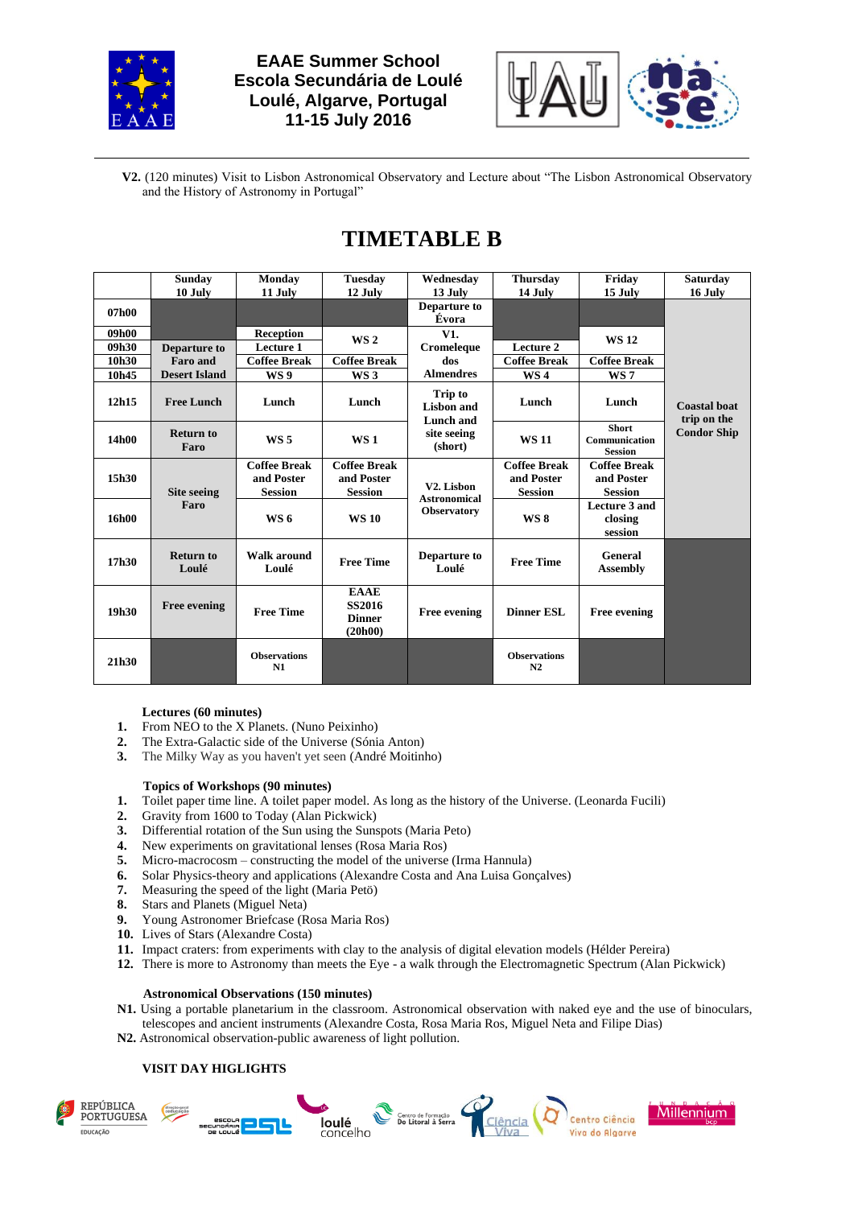

## **EAAE Summer School Escola Secundária de Loulé Loulé, Algarve, Portugal 11-15 July 2016**



**V2.** (120 minutes) Visit to Lisbon Astronomical Observatory and Lecture about "The Lisbon Astronomical Observatory and the History of Astronomy in Portugal"

# **TIMETABLE B**

|       | <b>Sunday</b>             | Monday                                              | <b>Tuesday</b>                                      | Wednesdav                                        | <b>Thursday</b>                                     | Friday                                              | <b>Saturday</b>                    |
|-------|---------------------------|-----------------------------------------------------|-----------------------------------------------------|--------------------------------------------------|-----------------------------------------------------|-----------------------------------------------------|------------------------------------|
|       | 10 July                   | 11 July                                             | 12 July                                             | 13 July<br>Departure to                          | 14 July                                             | 15 July                                             | 16 July                            |
| 07h00 |                           |                                                     |                                                     | Évora                                            |                                                     |                                                     |                                    |
| 09h00 |                           | <b>Reception</b>                                    | WS <sub>2</sub>                                     | V1.                                              |                                                     | <b>WS 12</b>                                        |                                    |
| 09h30 | Departure to              | Lecture 1                                           |                                                     | Cromeleque                                       | Lecture 2                                           |                                                     |                                    |
| 10h30 | <b>Faro</b> and           | <b>Coffee Break</b>                                 | <b>Coffee Break</b>                                 | dos                                              | <b>Coffee Break</b>                                 | <b>Coffee Break</b>                                 |                                    |
| 10h45 | <b>Desert Island</b>      | WS 9                                                | WS <sub>3</sub>                                     | <b>Almendres</b>                                 | WS <sub>4</sub>                                     | WS7                                                 |                                    |
| 12h15 | <b>Free Lunch</b>         | Lunch                                               | Lunch                                               | <b>Trip to</b><br><b>Lisbon</b> and<br>Lunch and | Lunch                                               | Lunch                                               | <b>Coastal boat</b><br>trip on the |
| 14h00 | <b>Return to</b><br>Faro  | <b>WS5</b>                                          | WS <sub>1</sub>                                     | site seeing<br>(short)                           | <b>WS11</b>                                         | <b>Short</b><br>Communication<br><b>Session</b>     | <b>Condor Ship</b>                 |
| 15h30 | Site seeing               | <b>Coffee Break</b><br>and Poster<br><b>Session</b> | <b>Coffee Break</b><br>and Poster<br><b>Session</b> | V <sub>2</sub> . Lisbon<br><b>Astronomical</b>   | <b>Coffee Break</b><br>and Poster<br><b>Session</b> | <b>Coffee Break</b><br>and Poster<br><b>Session</b> |                                    |
| 16h00 | Faro                      | WS 6                                                | <b>WS 10</b>                                        | <b>Observatory</b>                               | <b>WS 8</b>                                         | Lecture 3 and<br>closing<br>session                 |                                    |
| 17h30 | <b>Return to</b><br>Loulé | Walk around<br>Loulé                                | <b>Free Time</b>                                    | Departure to<br>Loulé                            | <b>Free Time</b>                                    | General<br><b>Assembly</b>                          |                                    |
| 19h30 | <b>Free evening</b>       | <b>Free Time</b>                                    | <b>EAAE</b><br>SS2016<br><b>Dinner</b><br>(20h00)   | <b>Free evening</b>                              | <b>Dinner ESL</b>                                   | <b>Free evening</b>                                 |                                    |
| 21h30 |                           | <b>Observations</b><br>N1                           |                                                     |                                                  | <b>Observations</b><br>N2                           |                                                     |                                    |

## **Lectures (60 minutes)**

- **1.** From NEO to the X Planets. (Nuno Peixinho)
- **2.** The Extra-Galactic side of the Universe (Sónia Anton)
- **3.** The Milky Way as you haven't yet seen (André Moitinho)

### **Topics of Workshops (90 minutes)**

- **1.** Toilet paper time line. A toilet paper model. As long as the history of the Universe. (Leonarda Fucili)
- **2.** Gravity from 1600 to Today (Alan Pickwick)
- **3.** Differential rotation of the Sun using the Sunspots (Maria Peto)
- **4.** New experiments on gravitational lenses (Rosa Maria Ros)
- **5.** Micro-macrocosm constructing the model of the universe (Irma Hannula)
- **6.** Solar Physics-theory and applications (Alexandre Costa and Ana Luisa Gonçalves)
- **7.** Measuring the speed of the light (Maria Petö)
- **8.** Stars and Planets (Miguel Neta)
- **9.** Young Astronomer Briefcase (Rosa Maria Ros)
- **10.** Lives of Stars (Alexandre Costa)
- **11.** Impact craters: from experiments with clay to the analysis of digital elevation models (Hélder Pereira)
- **12.** There is more to Astronomy than meets the Eye a walk through the Electromagnetic Spectrum (Alan Pickwick)

#### **Astronomical Observations (150 minutes)**

- **N1.** Using a portable planetarium in the classroom. Astronomical observation with naked eye and the use of binoculars, telescopes and ancient instruments (Alexandre Costa, Rosa Maria Ros, Miguel Neta and Filipe Dias)
- **N2.** Astronomical observation-public awareness of light pollution.

## **VISIT DAY HIGLIGHTS**